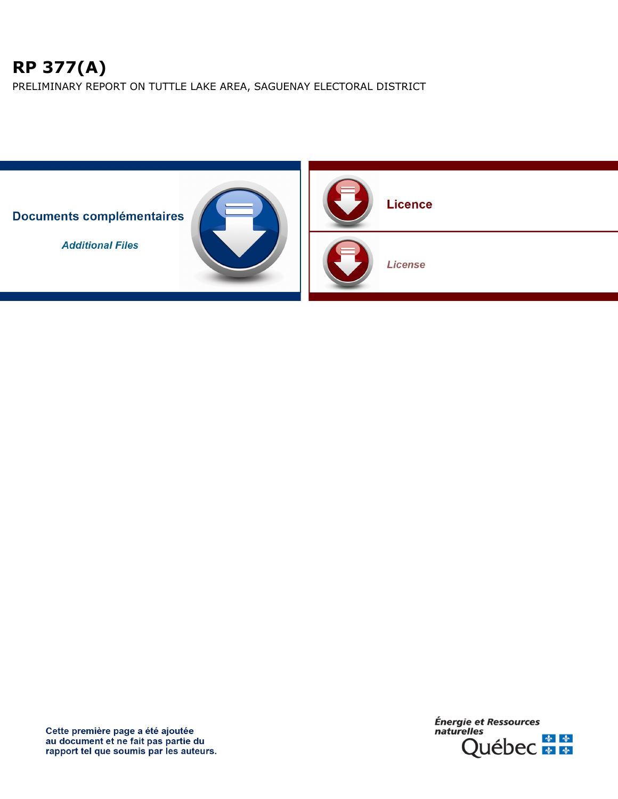# **RP 377(A)**

PRELIMINARY REPORT ON TUTTLE LAKE AREA, SAGUENAY ELECTORAL DISTRICT



Cette première page a été ajoutée au document et ne fait pas partie du<br>rapport tel que soumis par les auteurs.

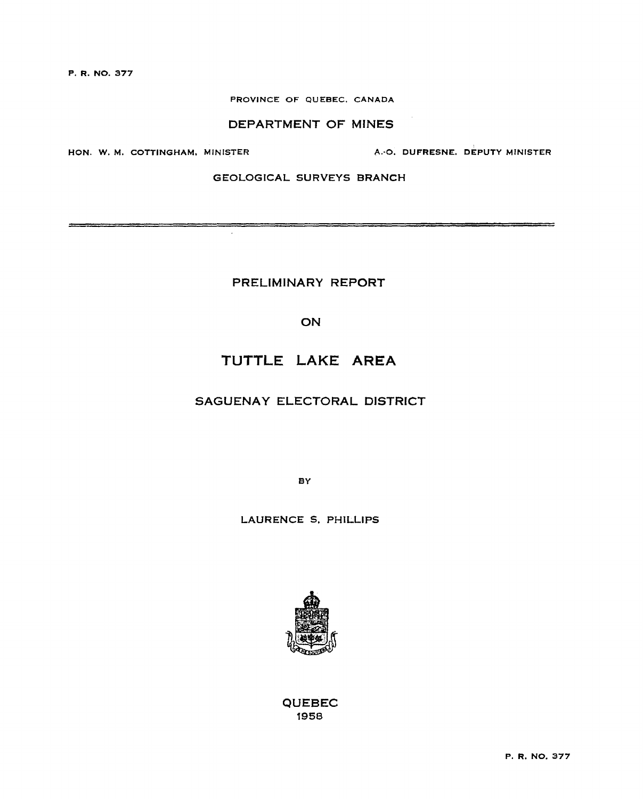**P. R. NO.** 377

#### PROVINCE OF QUEBEC. CANADA

## DEPARTMENT OF MINES

HON. W. M. COTTINGHAM. MINISTER A.•0. **DUFRESNE. DEPUTY MINISTER** 

en de la production de la production de la production de la production de la production de la production de la<br>La production de la production de la production de la production de la production de la production de la produ

# GEOLOGICAL SURVEYS BRANCH

PRELIMINARY **REPORT** 

 $\sim$ 

**ON** 

# TUTTLE LAKE AREA

# SAGUENAY ELECTORAL DISTRICT

**BY** 

LAURENCE S. PHILLIPS



QUEBEC 1958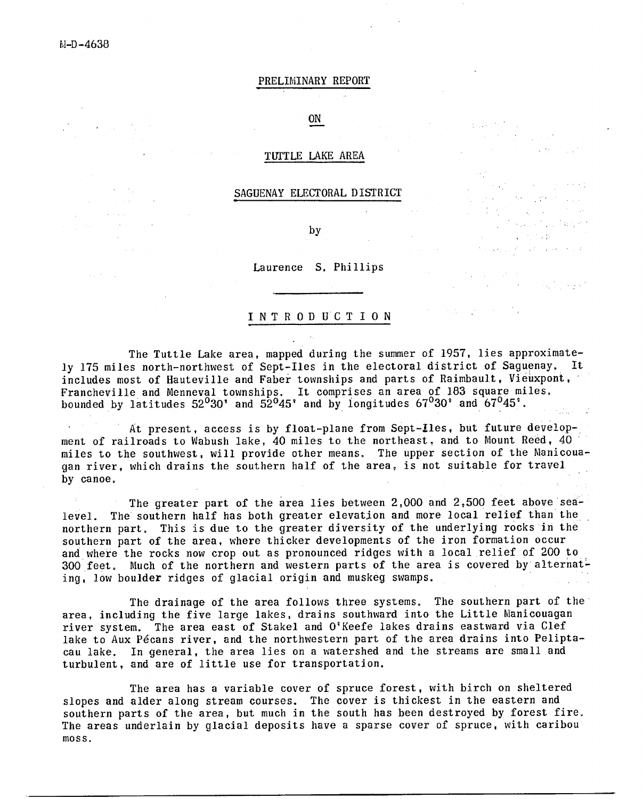M-D-4638

**Service State** 

#### PRELIMINARY REPORT

# ON

#### TUTTLE LAKE AREA

#### SAGUENAY ELECTORAL DISTRICT

by

Laurence S. Phillips

#### INTRODUCTION

The Tuttle Lake area, mapped during the summer of 1957, lies approximately 175 miles north-northwest of Sept-Iles in the electoral district of Saguenay. includes most of Hauteville and Faber townships and parts of Raimbault, Vieuxpont, Francheville and Menneval townships. It comprises an area of 183 square miles. bounded by latitudes  $52^030'$  and  $52^045'$  and by longitudes  $67^030'$  and  $67^045'$ .

At present, access is by float-plane from Sept-Iles, but future development of railroads to Wabush lake, 40 miles to the northeast, and to Mount Reed, 40 miles to the southwest, will provide other means. The upper section of the Manicouagan river, which drains the southern half of the area, is not suitable for travel by canoe.

The greater part of the area lies between 2,000 and 2,500 feet above sealevel. The southern half has both greater elevation and more local relief than the northern part. This is due to the greater diversity of the underlying rocks in the southern part of the area, where thicker developments of the iron formation occur and where the rocks now crop out as pronounced ridges with a local relief of 200 to 300 feet. Much of the northern and western parts of the area is covered by alternating, low boulder ridges of glacial origin and muskeg swamps.

The drainage of the area follows three systems. The southern part of the' area, including the five large lakes, drains southward into the Little Manicouagan river system. The area east of Stakel and O'Keefe lakes drains eastward via Clef lake to Aux Pécans river, and the northwestern part of the area drains into Peliptacau lake. In general, the area lies on a watershed and the streams are small and turbulent, and are of little use for transportation.

The area has a variable cover of spruce forest, with birch on sheltered slopes and alder along stream courses. The cover is thickest in the eastern and southern parts of the area, but much in the south has been destroyed by forest fire. The areas underlain by glacial deposits have a sparse cover of spruce, with caribou moss.

 $\mathcal{L}(\mathcal{A})$  and  $\mathcal{L}(\mathcal{A})$  and  $\mathcal{L}(\mathcal{A})$  $\mathcal{L}^{\text{max}}_{\text{max}}$  , where  $\mathcal{L}^{\text{max}}_{\text{max}}$ 

 $\frac{1}{2}$  ,  $\frac{1}{2}$ 

医细胞 医单位神经 有量

 $\label{eq:2.1} \mathcal{L}_{\mathcal{A}}(\mathcal{A})=\mathcal{L}_{\mathcal{A}}(\mathcal{A})=\mathcal{L}_{\mathcal{A}}(\mathcal{A})\mathcal{A}(\mathcal{A})$ 

 $\mathcal{I}^{\mathcal{I}}$  , i.e.,  $\mathcal{I}^{\mathcal{I}}$  ,  $\mathcal{I}^{\mathcal{I}}$  and  $\mathcal{I}^{\mathcal{I}}$  $\mathcal{L}^{\text{max}}_{\text{max}}$  , where  $\mathcal{L}^{\text{max}}_{\text{max}}$ 

 $\label{eq:2.1} \begin{split} \mathcal{H}_{\text{eff}}(\mathcal{G}) & = \mathcal{H}(\mathcal{G}) \mathcal{H}(\mathcal{G}) \\ \mathcal{H}_{\text{eff}}(\mathcal{G}) & = \mathcal{H}(\mathcal{G}) \mathcal{H}(\mathcal{G}) \end{split}$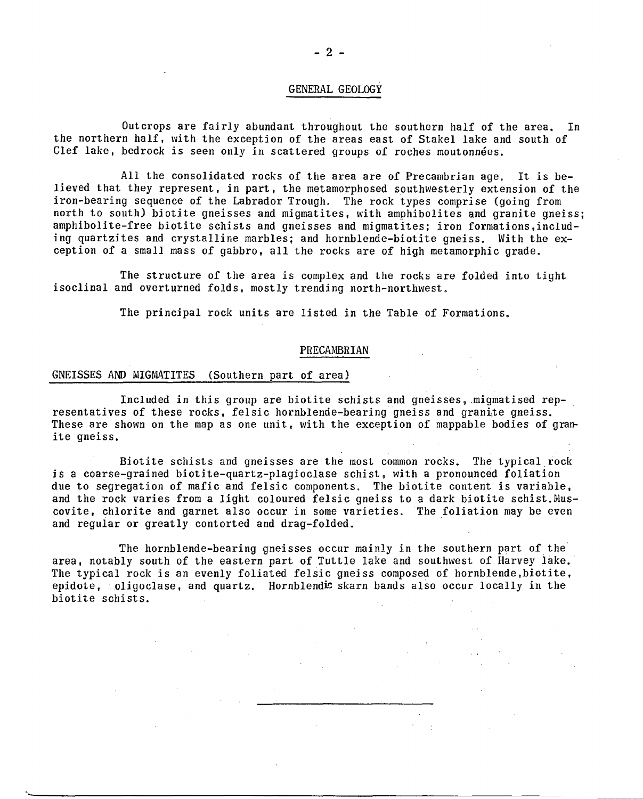#### GENERAL GEOLOGY

Outcrops are fairly abundant throughout the southern half of the area. In the northern half, with the exception of the areas east of Stakel lake and south of Clef lake, bedrock is seen only in scattered groups of roches moutonnées.

All the consolidated rocks of the area are of Precambrian age. It is believed that they represent, in part, the metamorphosed southwesterly extension of the iron-bearing sequence of the Labrador Trough. The rock types comprise (going from north to south) biotite gneisses and migmatites, with amphibolites and granite gneiss; amphibolite-free biotite schists and gneisses and migmatites; iron formations,including quartzites and crystalline marbles; and hornblende-biotite gneiss. With the exception of a small mass of gabbro, all the rocks are of high metamorphic grade.

The structure of the area is complex and the rocks are folded into tight isoclinal and overturned folds, mostly trending north-northwest.

The principal rock units are listed in the Table of Formations.

#### PRECAMBRIAN

#### GNEISSES AND MIGMATITES (Southern part of area)

Included in this group are biotite schists and gneisses, migmatised representatives of these rocks, felsic hornblende-bearing gneiss and granite gneiss. These are shown on the map as one unit, with the exception of mappable bodies of granite gneiss.

Biotite schists and gneisses are the most common rocks. The typical rock is a coarse-grained biotite-quartz-plagioclase schist, with a pronounced foliation due to segregation of mafic and felsic components. The biotite content is variable, and the rock varies from a light coloured felsic gneiss to a dark biotite schist. Muscovite, chlorite and garnet also occur in some varieties. The foliation may be even and regular or greatly contorted and drag-folded.

The hornblende-bearing gneisses occur mainly in the southern part of the area, notably south of the eastern part of Tuttle lake and southwest of Harvey lake. The typical rock is an evenly foliated felsic gneiss composed of hornblende,biotite, epidote, oligoclase, and quartz. Hornblendic skarn bands also occur locally in the biotite schists.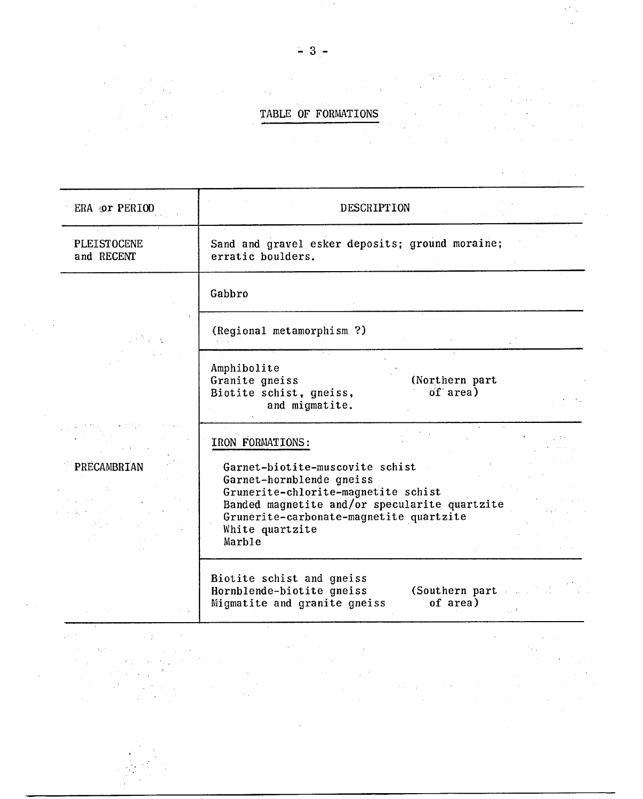# TABLE OF FORMATIONS

| ERA Or PERIOD                                                                                                                                                                                                                                                     | DESCRIPTION                                                                                                                                                                                                                                                                                                                                                                                                                                                                                                                                                                                                                                                                                                                                                                                                                                                                                                                                                                                                                                                                                                                                                                                                                                                                                                                                                                                                                                                                                                                                                               |
|-------------------------------------------------------------------------------------------------------------------------------------------------------------------------------------------------------------------------------------------------------------------|---------------------------------------------------------------------------------------------------------------------------------------------------------------------------------------------------------------------------------------------------------------------------------------------------------------------------------------------------------------------------------------------------------------------------------------------------------------------------------------------------------------------------------------------------------------------------------------------------------------------------------------------------------------------------------------------------------------------------------------------------------------------------------------------------------------------------------------------------------------------------------------------------------------------------------------------------------------------------------------------------------------------------------------------------------------------------------------------------------------------------------------------------------------------------------------------------------------------------------------------------------------------------------------------------------------------------------------------------------------------------------------------------------------------------------------------------------------------------------------------------------------------------------------------------------------------------|
| PLEISTOCENE<br>and RECENT                                                                                                                                                                                                                                         | Sand and gravel esker deposits; ground moraine;<br>erratic boulders.                                                                                                                                                                                                                                                                                                                                                                                                                                                                                                                                                                                                                                                                                                                                                                                                                                                                                                                                                                                                                                                                                                                                                                                                                                                                                                                                                                                                                                                                                                      |
|                                                                                                                                                                                                                                                                   | Gabbro                                                                                                                                                                                                                                                                                                                                                                                                                                                                                                                                                                                                                                                                                                                                                                                                                                                                                                                                                                                                                                                                                                                                                                                                                                                                                                                                                                                                                                                                                                                                                                    |
| PRECAMBRIAN                                                                                                                                                                                                                                                       | (Regional metamorphism?)                                                                                                                                                                                                                                                                                                                                                                                                                                                                                                                                                                                                                                                                                                                                                                                                                                                                                                                                                                                                                                                                                                                                                                                                                                                                                                                                                                                                                                                                                                                                                  |
|                                                                                                                                                                                                                                                                   | Amphibolite<br>(Northern part<br>Granite gneiss<br>of area)<br>Biotite schist, gneiss,<br>and migmatite.                                                                                                                                                                                                                                                                                                                                                                                                                                                                                                                                                                                                                                                                                                                                                                                                                                                                                                                                                                                                                                                                                                                                                                                                                                                                                                                                                                                                                                                                  |
|                                                                                                                                                                                                                                                                   | IRON FORMATIONS:<br>Garnet-biotite-muscovite schist<br>Garnet-hornblende gneiss<br>Grunerite-chlorite-magnetite schist<br>Banded magnetite and/or specularite quartzite<br>Grunerite-carbonate-magnetite quartzite<br>White quartzite<br>Marble                                                                                                                                                                                                                                                                                                                                                                                                                                                                                                                                                                                                                                                                                                                                                                                                                                                                                                                                                                                                                                                                                                                                                                                                                                                                                                                           |
|                                                                                                                                                                                                                                                                   | Biotite schist and gneiss<br>Hornblende-biotite gneiss<br>(Southern part<br>of area)<br>Migmatite and granite gneiss                                                                                                                                                                                                                                                                                                                                                                                                                                                                                                                                                                                                                                                                                                                                                                                                                                                                                                                                                                                                                                                                                                                                                                                                                                                                                                                                                                                                                                                      |
| $\mathcal{L}(\mathcal{L}(\mathcal{L}))$ and $\mathcal{L}(\mathcal{L}(\mathcal{L}))$ is the following of the set of $\mathcal{L}(\mathcal{L})$<br>455.70<br>$\mathcal{A}^{\mathcal{A}}$ . The following the contribution of the set of $\mathcal{A}^{\mathcal{A}}$ | $\mathcal{L}(\mathcal{L}(\mathcal{L}))$ and $\mathcal{L}(\mathcal{L}(\mathcal{L}))$ and $\mathcal{L}(\mathcal{L}(\mathcal{L}))$ . Then $\mathcal{L}(\mathcal{L}(\mathcal{L}))$<br>$\mathcal{L}^{\mathcal{L}}(\mathcal{L}^{\mathcal{L}})$ and $\mathcal{L}^{\mathcal{L}}(\mathcal{L}^{\mathcal{L}})$ and $\mathcal{L}^{\mathcal{L}}(\mathcal{L}^{\mathcal{L}})$ and $\mathcal{L}^{\mathcal{L}}(\mathcal{L}^{\mathcal{L}})$<br>$\mathcal{L}(\mathcal{L}(\mathcal{L}))$ and $\mathcal{L}(\mathcal{L}(\mathcal{L}))$ and $\mathcal{L}(\mathcal{L}(\mathcal{L}))$ . Then $\mathcal{L}(\mathcal{L}(\mathcal{L}))$<br>the constraints of the constraints of the constraints of the constraints of the constraints of the constraints of the constraints of the constraints of the constraints of the constraints of the constraints of the constrai<br>$\mathcal{L}_{\mathcal{M}}$ is defined as a function of the set of the set of the set of the set of the set of the set of the set of the set of the set of the set of the set of the set of the set of the set of the set of the set of th<br>$\mathcal{L}^{\mathcal{L}}(\mathcal{L}^{\mathcal{L}})$ and $\mathcal{L}^{\mathcal{L}}(\mathcal{L}^{\mathcal{L}})$ and $\mathcal{L}^{\mathcal{L}}(\mathcal{L}^{\mathcal{L}})$ and $\mathcal{L}^{\mathcal{L}}(\mathcal{L}^{\mathcal{L}})$<br>a de la contra contra la companya del proporciones de la companya de la companya de la companya de la companya<br>Alguns de la companya de la companya de la companya de la companya de la companya de la companya de la company |

 $-3-$ 

 $\sim$   $\sim$ 

 $\sim 10^{-1}$ 

 $\bar{\bar{z}}$ 

 $\mathcal{P}_{\mathcal{A}}$ 

 $\bar{z}$ 

 $\mathcal{L}_{\mathcal{C}}$ ia y

 $\mathcal{L}^{\text{max}}_{\text{max}}$  ,  $\mathcal{L}^{\text{max}}_{\text{max}}$ 

 $\lambda$ 

 $\sim 10$ 

 $\mathcal{A}$ 

 $\mathcal{O}(\log n)$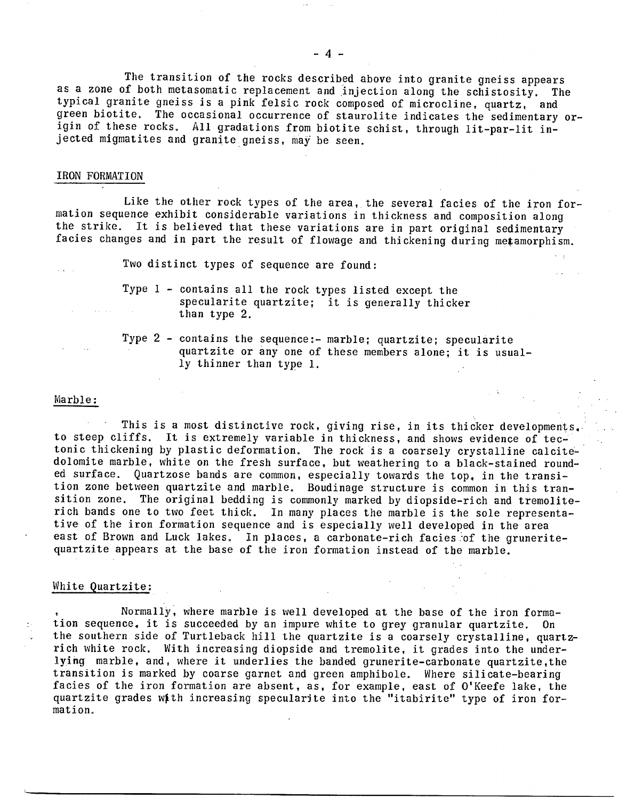The transition of the rocks described above into granite gneiss appears as a zone of both metasomatic replacement and injection along the schistosity. The typical granite gneiss is a pink felsic rock composed of microcline, quartz, and green biotite. The occasional occurrence of staurolite indicates the sedimentary origin of these rocks. All gradations from biotite schist, through lit-par-lit injected migmatites and granite gneiss, may be seen.

#### IRON FORMATION

Like the other rock types of the area, the several facies of the iron formation sequence exhibit considerable variations in thickness and composition along the strike. It is believed that these variations are in part original sedimentary facies changes and in part the result of flowage and thickening during metamorphism.

Two distinct types of sequence are found:

- Type 1 contains all the rock types listed except the specularite quartzite; it is generally thicker than type 2.
- Type 2 contains the sequence:- marble; quartzite; specularite quartzite or any one of these members alone; it is usually thinner than type 1.

#### Marble:

This is a most distinctive rock, giving rise, in its thicker developments. to steep cliffs. It is extremely variable in thickness, and shows evidence of tectonic thickening by plastic deformation. The rock is a coarsely crystalline calcitedolomite marble, white on the fresh surface, but weathering to a black-stained rounded surface. Quartzose bands are common, especially towards the top, in the transition zone between quartzite and marble. Boudinage structure is common in this transition zone. The original bedding is commonly marked by diopside-rich and tremoliterich bands one to two feet thick. In many places the marble is the sole representative of the iron formation sequence and is especially well developed in the area east of Brown and Luck lakes. In places, a carbonate-rich facies of the gruneritequartzite appears at the base of the iron formation instead of the marble.

#### White Quartzite:

Normally, where marble is well developed at the base of the iron formation sequence, it is succeeded by an impure white to grey granular quartzite. On the southern side of Turtleback hill the quartzite is a coarsely crystalline, quartzrich white rock. With increasing diopside and tremolite, it grades into the underlying marble, and, where it underlies the banded grunerite-carbonate quartzite,the transition is marked by coarse garnet and green amphibole. Where silicate-bearing facies of the iron formation are absent, as, for example, east of O'Keefe lake, the quartzite grades wf.th increasing specularite into the "itabirite" type of iron formation.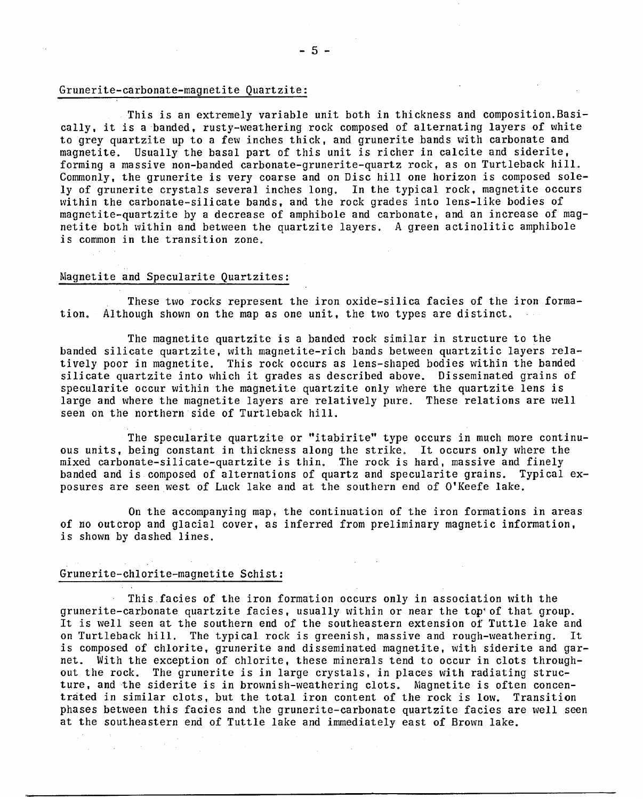#### Grunerite-carbonate-magnetite Quartzite:

This is an extremely variable unit both in thickness and composition.Basically, it is a banded, rusty-weathering rock composed of alternating layers of white to grey quartzite up to a few inches thick, and grunerite bands with carbonate and magnetite. Usually the basal part of this unit is richer in calcite and siderite, forming a massive non-banded carbonate-grunerite-quartz rock, as on Turtleback hill. Commonly, the grunerite is very coarse and on Disc hill one horizon is composed solely of grunerite crystals several inches long. In the typical rock, magnetite occurs within the carbonate-silicate bands, and the rock grades into lens-like bodies of magnetite-quartzite by a decrease of amphibole and carbonate, and an increase of magnetite both within and between the quartzite layers. A green actinolitic amphibole is common in the transition zone,

#### Magnetite and Specularite Quartzites:

These two rocks represent the iron oxide-silica facies of the iron formation, Although shown on the map as one unit, the two types are distinct,

The magnetite quartzite is a banded rock similar in structure to the banded silicate quartzite, with magnetite-rich bands between quartzitic layers relatively poor in magnetite. This rock occurs as lens-shaped bodies within the banded silicate quartzite into which it grades as described above. Disseminated grains of specularite occur within the magnetite quartzite only where the quartzite lens is large and where the magnetite layers are relatively pure. These relations are well seen on the northern side of Turtleback hill.

The specularite quartzite or "itabirite" type occurs in much more continuous units, being constant in thickness along the strike, It occurs only where the mixed carbonate-silicate-quartzite is thin. The rock is hard, massive and finely banded and is composed of alternations of quartz and specularite grains. Typical exposures are seen west of Luck lake and at the southern end of O'Keefe lake.

On the accompanying map, the continuation of the iron formations in areas of no outcrop and glacial cover, as inferred from preliminary magnetic information, is shown by dashed lines.

#### Grunerite-chlorite-magnetite Schist:

This facies of the iron formation occurs only in association with the grunerite-carbonate quartzite facies, usually within or near the top'of that group. It is well seen at the southern end of the southeastern extension of Tuttle lake and on Turtleback hill. The typical rock is greenish, massive and rough-weathering. It is composed of chlorite, grunerite and disseminated magnetite, with siderite and garnet. With the exception of chlorite, these minerals tend to occur in clots throughout the rock. The grunerite is in large crystals, in places with radiating structure, and the siderite is in brownish-weathering clots. Magnetite is often concentrated in similar clots, but the total iron content of the rock is low. Transition phases between this facies and the grunerite-carbonate quartzite facies are well seen at the southeastern end of Tuttle lake and immediately east of Brown lake.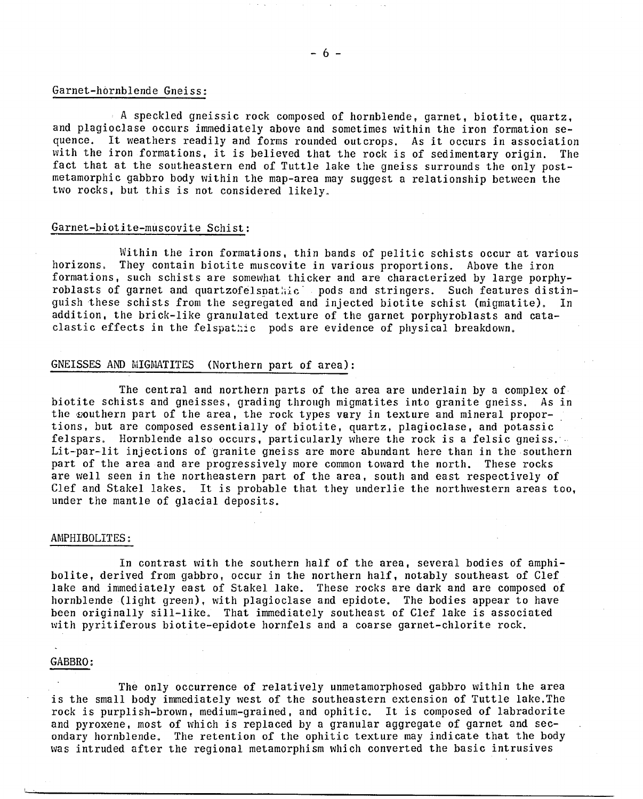#### Garnet-hornblende Gneiss:

A speckled gneissic rock composed of hornblende, garnet, biotite, quartz, and plagioclase occurs immediately above and sometimes within the iron formation sequence. It weathers readily and forms rounded outcrops. As it occurs in association with the iron formations, it is believed that the rock is of sedimentary origin. The fact that at the southeastern end of Tuttle lake the gneiss surrounds the only postmetamorphic gabbro body within the map-area may suggest a relationship between the two rocks, but this is not considered likely.

#### Garnet-biotite-muscovite Schist:

Within the iron formations, thin bands of pelitic schists occur at various horizons. They contain biotite muscovite in various proportions. Above the iron formations, such schists are somewhat thicker and are characterized by large porphyroblasts of garnet and quartzofelspathic. pods and stringers. Such features distinguish these schists from the segregated and injected biotite schist (migmatite). In addition, the brick-like granulated texture of the garnet porphyroblasts and cataclastic effects in the felspathic pods are evidence of physical breakdown.

## GNEISSES AND MIGMATITES (Northern part of area) :

The central and northern parts of the area are underlain by a complex of biotite schists and gneisses, grading through migmatites into granite gneiss. As in the southern part of the area, the rock types vary in texture and mineral proportions, but are composed essentially of biotite, quartz, plagioclase, and potassic felspars. Hornblende also occurs, particularly where the rock is a felsic qneiss. Lit-par-lit injections of granite gneiss are more abundant here than in the southern part of the area and are progressively more common toward the north. These rocks are well seen in the northeastern part of the area, south and east respectively of Clef and Stakel lakes. It is probable that they underlie the northwestern areas too, under the mantle of glacial deposits.

#### AMPHIBOLITES:

In contrast with the southern half of the area, several bodies of amphibolite, derived from gabbro, occur in the northern half, notably southeast of Clef lake and immediately east of Stakel lake. These rocks are dark and are composed of hornblende (light green), with plagioclase and epidote. The bodies appear to have been originally sill-like. That immediately southeast of Clef lake is associated with pyritiferous biotite-epidote hornfels and a coarse garnet-chlorite rock.

#### GABBRO:

The only occurrence of relatively unmetamorphosed gabbro within the area is the small body immediately west of the southeastern extension of Tuttle lake.The rock is purplish-brown, medium-grained, and ophitic. It is composed of labradorite and pyroxene, most of which is replaced by a granular aggregate of garnet and secondary hornblende. The retention of the ophitic texture may indicate that the body was intruded after the regional metamorphism which converted the basic intrusives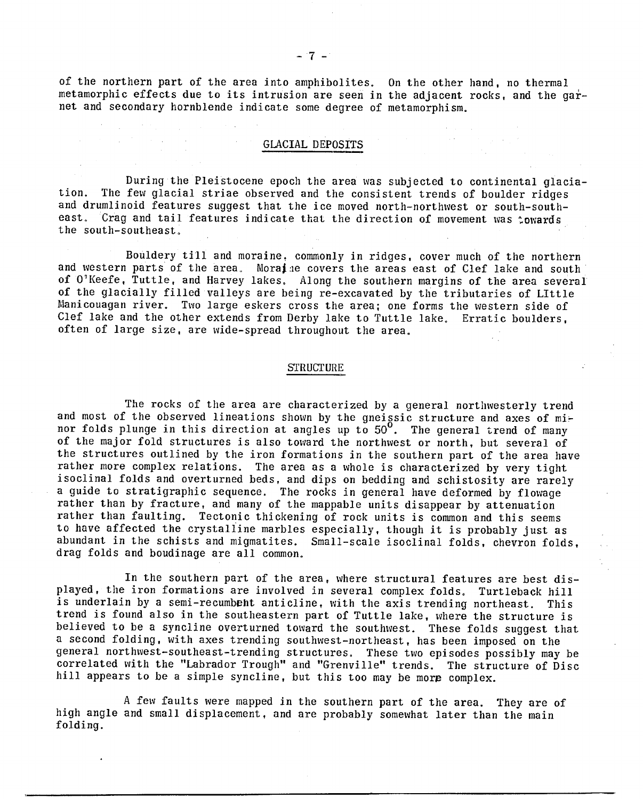of the northern part of the area into amphibolites. On the other hand, no thermal metamorphic effects due to its intrusion are seen in the adjacent rocks, and the garnet and secondary hornblende indicate some degree of metamorphism.

a series de la partida<br>La propieta de la partida de

# GLACIAL DEPOSITS

During the Pleistocene epoch the area was subjected to continental glaciation. The few glacial striae observed and the consistent trends of boulder ridges and drumlinoid features suggest that the ice moved north-northwest or south-southeast. Crag and tail features indicate that the direction of movement was towards the south-southeast.

Bouldery till and moraine, commonly in ridges, cover much of the northern and western parts of the area. Moral e covers the areas east of Clef lake and south of O'Keefe, Tuttle, and Harvey lakes, Along the southern margins of the area several of the glacially filled valleys are being re-excavated by the tributaries of LIttle Manicouagan river. Two large eskers cross the area; one forms the western side of Clef lake and the other extends from Derby lake to Tuttle lake, Erratic boulders, often of large size, are wide-spread throughout the area.

#### **STRUCTURE**

The rocks of the area are characterized by a general northwesterly trend and most of the observed lineations shown by the gneissic structure and axes of minor folds plunge in this direction at angles up to 50°. The general trend of many of the major fold structures is also toward the northwest or north, but several of the structures outlined by the iron formations in the southern part of the area have rather more complex relations. The area as a whole is characterized by very tight isoclinal folds and overturned beds, and dips on bedding and schistosity are rarely a guide to stratigraphic sequence. The rocks in general have deformed by flowage rather than by fracture, and many of the mappable units disappear by attenuation rather than faulting. Tectonic thickening of rock units is common and this seems to have affected the crystalline marbles especially, though it is probably just as abundant in the schists and migmatites. Small-scale isoclinal folds, chevron folds, drag folds and boudinage are all common.

In the southern part of the area, where structural features are best displayed, the iron formations are involved in several complex folds. Turtleback hill is underlain by a semi-recumbent anticline, with the axis trending northeast. This trend is found also in the southeastern part of Tuttle lake, where the structure is believed to be a syncline overturned toward the southwest. These folds suggest that a second folding, with axes trending southwest-northeast, has been imposed on the general northwest-southeast-trending structures. These two episodes possibly may be correlated with the "Labrador Trough" and "Grenville" trends. The structure of Disc hill appears to be a simple syncline, but this too may be more complex.

A few faults were mapped in the southern part of the area. They are of high angle and small displacement, and are probably somewhat later than the main folding.